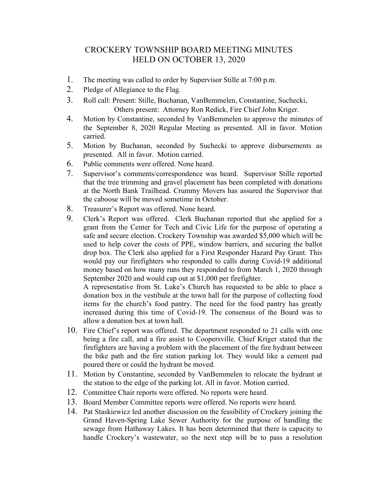## CROCKERY TOWNSHIP BOARD MEETING MINUTES HELD ON OCTOBER 13, 2020

- 1. The meeting was called to order by Supervisor Stille at 7:00 p.m.
- 2. Pledge of Allegiance to the Flag.
- 3. Roll call: Present: Stille, Buchanan, VanBemmelen, Constantine, Suchecki. Others present: Attorney Ron Redick, Fire Chief John Kriger.
- 4. Motion by Constantine, seconded by VanBemmelen to approve the minutes of the September 8, 2020 Regular Meeting as presented. All in favor. Motion carried.
- 5. Motion by Buchanan, seconded by Suchecki to approve disbursements as presented. All in favor. Motion carried.
- 6. Public comments were offered. None heard.
- 7. Supervisor's comments/correspondence was heard. Supervisor Stille reported that the tree trimming and gravel placement has been completed with donations at the North Bank Trailhead. Crummy Movers has assured the Supervisor that the caboose will be moved sometime in October.
- 8. Treasurer's Report was offered. None heard.
- 9. Clerk's Report was offered. Clerk Buchanan reported that she applied for a grant from the Center for Tech and Civic Life for the purpose of operating a safe and secure election. Crockery Township was awarded \$5,000 which will be used to help cover the costs of PPE, window barriers, and securing the ballot drop box. The Clerk also applied for a First Responder Hazard Pay Grant. This would pay our firefighters who responded to calls during Covid-19 additional money based on how many runs they responded to from March 1, 2020 through September 2020 and would cap out at \$1,000 per firefighter.

A representative from St. Luke's Church has requested to be able to place a donation box in the vestibule at the town hall for the purpose of collecting food items for the church's food pantry. The need for the food pantry has greatly increased during this time of Covid-19. The consensus of the Board was to allow a donation box at town hall.

- 10. Fire Chief's report was offered. The department responded to 21 calls with one being a fire call, and a fire assist to Coopersville. Chief Kriger stated that the firefighters are having a problem with the placement of the fire hydrant between the bike path and the fire station parking lot. They would like a cement pad poured there or could the hydrant be moved.
- 11. Motion by Constantine, seconded by VanBemmelen to relocate the hydrant at the station to the edge of the parking lot. All in favor. Motion carried.
- 12. Committee Chair reports were offered. No reports were heard.
- 13. Board Member Committee reports were offered. No reports were heard.
- 14. Pat Staskiewicz led another discussion on the feasibility of Crockery joining the Grand Haven-Spring Lake Sewer Authority for the purpose of handling the sewage from Hathaway Lakes. It has been determined that there is capacity to handle Crockery's wastewater, so the next step will be to pass a resolution